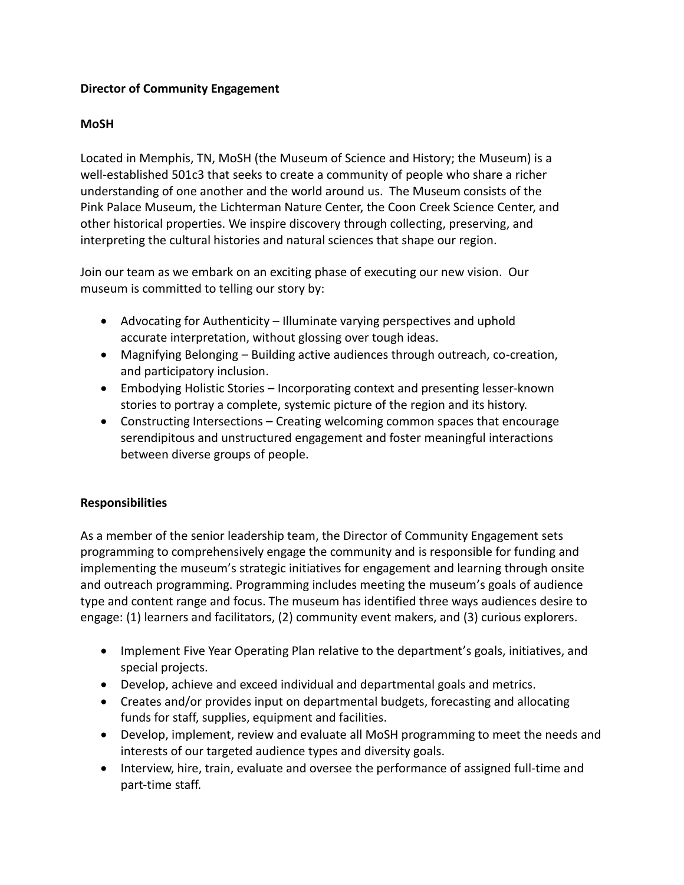## **Director of Community Engagement**

#### **MoSH**

Located in Memphis, TN, MoSH (the Museum of Science and History; the Museum) is a well-established 501c3 that seeks to create a community of people who share a richer understanding of one another and the world around us. The Museum consists of the Pink Palace Museum, the Lichterman Nature Center, the Coon Creek Science Center, and other historical properties. We inspire discovery through collecting, preserving, and interpreting the cultural histories and natural sciences that shape our region.

Join our team as we embark on an exciting phase of executing our new vision. Our museum is committed to telling our story by:

- Advocating for Authenticity Illuminate varying perspectives and uphold accurate interpretation, without glossing over tough ideas.
- Magnifying Belonging Building active audiences through outreach, co-creation, and participatory inclusion.
- Embodying Holistic Stories Incorporating context and presenting lesser-known stories to portray a complete, systemic picture of the region and its history.
- Constructing Intersections Creating welcoming common spaces that encourage serendipitous and unstructured engagement and foster meaningful interactions between diverse groups of people.

## **Responsibilities**

As a member of the senior leadership team, the Director of Community Engagement sets programming to comprehensively engage the community and is responsible for funding and implementing the museum's strategic initiatives for engagement and learning through onsite and outreach programming. Programming includes meeting the museum's goals of audience type and content range and focus. The museum has identified three ways audiences desire to engage: (1) learners and facilitators, (2) community event makers, and (3) curious explorers.

- Implement Five Year Operating Plan relative to the department's goals, initiatives, and special projects.
- Develop, achieve and exceed individual and departmental goals and metrics.
- Creates and/or provides input on departmental budgets, forecasting and allocating funds for staff, supplies, equipment and facilities.
- Develop, implement, review and evaluate all MoSH programming to meet the needs and interests of our targeted audience types and diversity goals.
- Interview, hire, train, evaluate and oversee the performance of assigned full-time and part-time staff.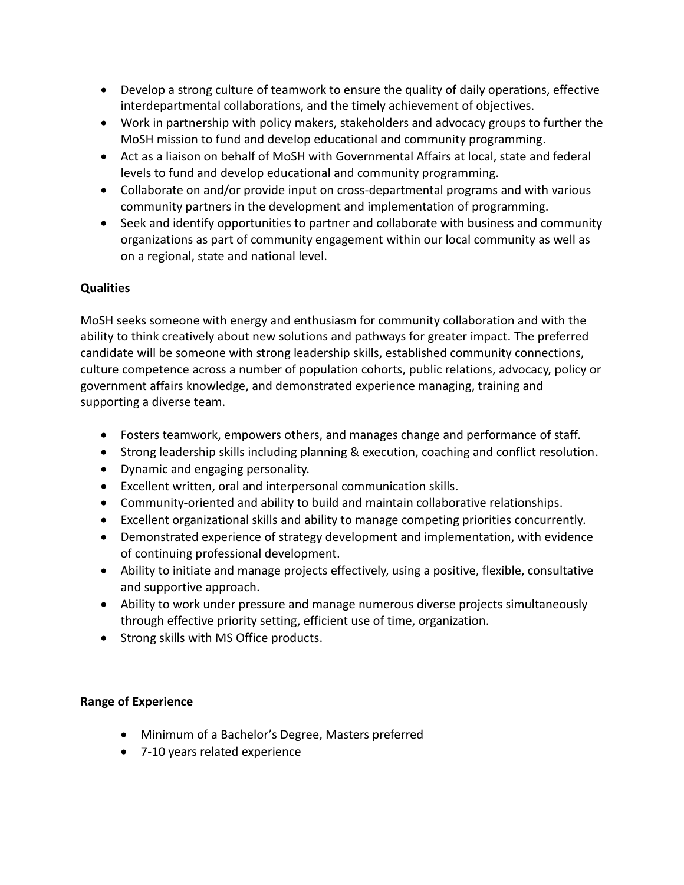- Develop a strong culture of teamwork to ensure the quality of daily operations, effective interdepartmental collaborations, and the timely achievement of objectives.
- Work in partnership with policy makers, stakeholders and advocacy groups to further the MoSH mission to fund and develop educational and community programming.
- Act as a liaison on behalf of MoSH with Governmental Affairs at local, state and federal levels to fund and develop educational and community programming.
- Collaborate on and/or provide input on cross-departmental programs and with various community partners in the development and implementation of programming.
- Seek and identify opportunities to partner and collaborate with business and community organizations as part of community engagement within our local community as well as on a regional, state and national level.

# **Qualities**

MoSH seeks someone with energy and enthusiasm for community collaboration and with the ability to think creatively about new solutions and pathways for greater impact. The preferred candidate will be someone with strong leadership skills, established community connections, culture competence across a number of population cohorts, public relations, advocacy, policy or government affairs knowledge, and demonstrated experience managing, training and supporting a diverse team.

- Fosters teamwork, empowers others, and manages change and performance of staff.
- Strong leadership skills including planning & execution, coaching and conflict resolution.
- Dynamic and engaging personality.
- Excellent written, oral and interpersonal communication skills.
- Community-oriented and ability to build and maintain collaborative relationships.
- Excellent organizational skills and ability to manage competing priorities concurrently.
- Demonstrated experience of strategy development and implementation, with evidence of continuing professional development.
- Ability to initiate and manage projects effectively, using a positive, flexible, consultative and supportive approach.
- Ability to work under pressure and manage numerous diverse projects simultaneously through effective priority setting, efficient use of time, organization.
- Strong skills with MS Office products.

## **Range of Experience**

- Minimum of a Bachelor's Degree, Masters preferred
- 7-10 years related experience